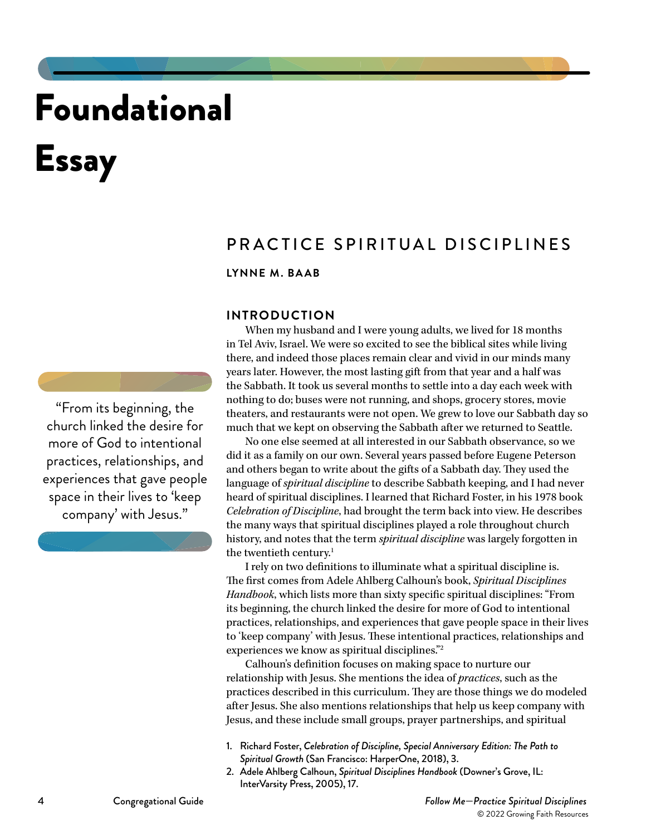# Foundational Essay

# LYNNE M. BAAB

PRACTICE SPIRITUAL DISCIPLINES

# **INTRODUCTION**

When my husband and I were young adults, we lived for 18 months in Tel Aviv, Israel. We were so excited to see the biblical sites while living there, and indeed those places remain clear and vivid in our minds many years later. However, the most lasting gift from that year and a half was the Sabbath. It took us several months to settle into a day each week with nothing to do; buses were not running, and shops, grocery stores, movie theaters, and restaurants were not open. We grew to love our Sabbath day so much that we kept on observing the Sabbath after we returned to Seattle.

No one else seemed at all interested in our Sabbath observance, so we did it as a family on our own. Several years passed before Eugene Peterson and others began to write about the gifts of a Sabbath day. They used the language of *spiritual discipline* to describe Sabbath keeping, and I had never heard of spiritual disciplines. I learned that Richard Foster, in his 1978 book *Celebration of Discipline*, had brought the term back into view. He describes the many ways that spiritual disciplines played a role throughout church history, and notes that the term *spiritual discipline* was largely forgotten in the twentieth century.1

I rely on two definitions to illuminate what a spiritual discipline is. The first comes from Adele Ahlberg Calhoun's book, *Spiritual Disciplines Handbook*, which lists more than sixty specific spiritual disciplines: "From its beginning, the church linked the desire for more of God to intentional practices, relationships, and experiences that gave people space in their lives to 'keep company' with Jesus. These intentional practices, relationships and experiences we know as spiritual disciplines."2

Calhoun's definition focuses on making space to nurture our relationship with Jesus. She mentions the idea of *practices*, such as the practices described in this curriculum. They are those things we do modeled after Jesus. She also mentions relationships that help us keep company with Jesus, and these include small groups, prayer partnerships, and spiritual

- 1. Richard Foster, *Celebration of Discipline, Special Anniversary Edition: The Path to Spiritual Growth* (San Francisco: HarperOne, 2018), 3.
- 2. Adele Ahlberg Calhoun, *Spiritual Disciplines Handbook* (Downer's Grove, IL: InterVarsity Press, 2005), 17.

"From its beginning, the church linked the desire for more of God to intentional practices, relationships, and experiences that gave people space in their lives to 'keep company' with Jesus."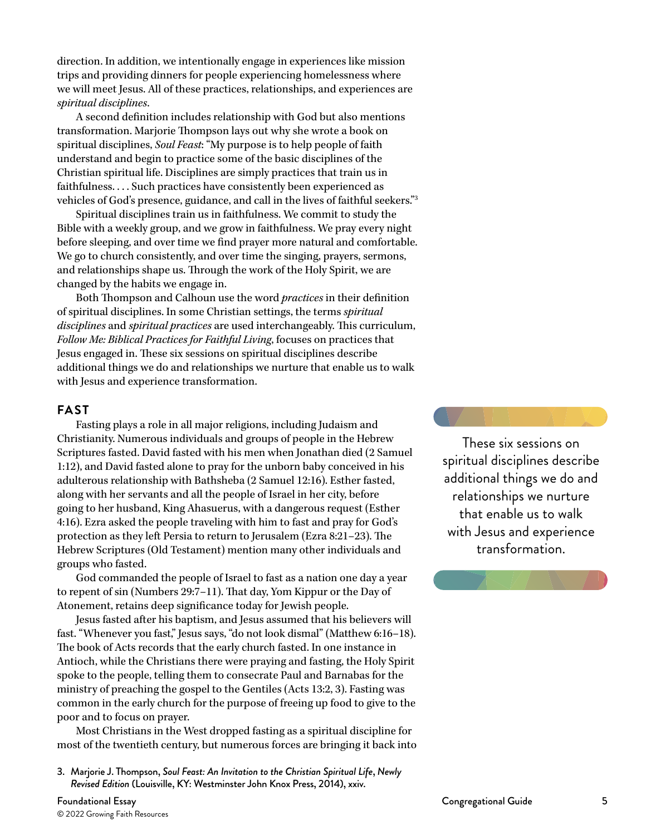direction. In addition, we intentionally engage in experiences like mission trips and providing dinners for people experiencing homelessness where we will meet Jesus. All of these practices, relationships, and experiences are *spiritual disciplines*.

A second definition includes relationship with God but also mentions transformation. Marjorie Thompson lays out why she wrote a book on spiritual disciplines, *Soul Feast*: "My purpose is to help people of faith understand and begin to practice some of the basic disciplines of the Christian spiritual life. Disciplines are simply practices that train us in faithfulness. . . . Such practices have consistently been experienced as vehicles of God's presence, guidance, and call in the lives of faithful seekers."3

Spiritual disciplines train us in faithfulness. We commit to study the Bible with a weekly group, and we grow in faithfulness. We pray every night before sleeping, and over time we find prayer more natural and comfortable. We go to church consistently, and over time the singing, prayers, sermons, and relationships shape us. Through the work of the Holy Spirit, we are changed by the habits we engage in.

Both Thompson and Calhoun use the word *practices* in their definition of spiritual disciplines. In some Christian settings, the terms *spiritual disciplines* and *spiritual practices* are used interchangeably. This curriculum, *Follow Me: Biblical Practices for Faithful Living*, focuses on practices that Jesus engaged in. These six sessions on spiritual disciplines describe additional things we do and relationships we nurture that enable us to walk with Jesus and experience transformation.

# **FAST**

Fasting plays a role in all major religions, including Judaism and Christianity. Numerous individuals and groups of people in the Hebrew Scriptures fasted. David fasted with his men when Jonathan died (2 Samuel 1:12), and David fasted alone to pray for the unborn baby conceived in his adulterous relationship with Bathsheba (2 Samuel 12:16). Esther fasted, along with her servants and all the people of Israel in her city, before going to her husband, King Ahasuerus, with a dangerous request (Esther 4:16). Ezra asked the people traveling with him to fast and pray for God's protection as they left Persia to return to Jerusalem (Ezra 8:21–23). The Hebrew Scriptures (Old Testament) mention many other individuals and groups who fasted.

God commanded the people of Israel to fast as a nation one day a year to repent of sin (Numbers 29:7–11). That day, Yom Kippur or the Day of Atonement, retains deep significance today for Jewish people.

Jesus fasted after his baptism, and Jesus assumed that his believers will fast. "Whenever you fast," Jesus says, "do not look dismal" (Matthew 6:16–18). The book of Acts records that the early church fasted. In one instance in Antioch, while the Christians there were praying and fasting, the Holy Spirit spoke to the people, telling them to consecrate Paul and Barnabas for the ministry of preaching the gospel to the Gentiles (Acts 13:2, 3). Fasting was common in the early church for the purpose of freeing up food to give to the poor and to focus on prayer.

Most Christians in the West dropped fasting as a spiritual discipline for most of the twentieth century, but numerous forces are bringing it back into

3. Marjorie J. Thompson, *Soul Feast: An Invitation to the Christian Spiritual Life*, *Newly Revised Edition* (Louisville, KY: Westminster John Knox Press, 2014), xxiv.

These six sessions on spiritual disciplines describe additional things we do and relationships we nurture that enable us to walk with Jesus and experience transformation.

Foundational Essay Congregational Guide 5 © 2022 Growing Faith Resources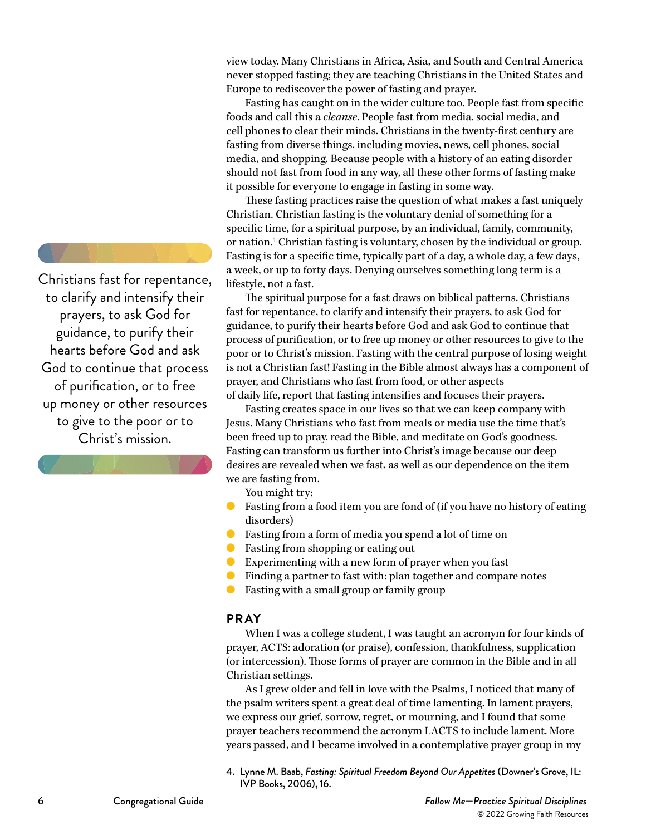Christians fast for repentance, to clarify and intensify their prayers, to ask God for guidance, to purify their hearts before God and ask God to continue that process of purification, or to free up money or other resources to give to the poor or to Christ's mission.

view today. Many Christians in Africa, Asia, and South and Central America never stopped fasting; they are teaching Christians in the United States and Europe to rediscover the power of fasting and prayer.

Fasting has caught on in the wider culture too. People fast from specific foods and call this a *cleanse*. People fast from media, social media, and cell phones to clear their minds. Christians in the twenty-first century are fasting from diverse things, including movies, news, cell phones, social media, and shopping. Because people with a history of an eating disorder should not fast from food in any way, all these other forms of fasting make it possible for everyone to engage in fasting in some way.

These fasting practices raise the question of what makes a fast uniquely Christian. Christian fasting is the voluntary denial of something for a specific time, for a spiritual purpose, by an individual, family, community, or nation.4 Christian fasting is voluntary, chosen by the individual or group. Fasting is for a specific time, typically part of a day, a whole day, a few days, a week, or up to forty days. Denying ourselves something long term is a lifestyle, not a fast.

The spiritual purpose for a fast draws on biblical patterns. Christians fast for repentance, to clarify and intensify their prayers, to ask God for guidance, to purify their hearts before God and ask God to continue that process of purification, or to free up money or other resources to give to the poor or to Christ's mission. Fasting with the central purpose of losing weight is not a Christian fast! Fasting in the Bible almost always has a component of prayer, and Christians who fast from food, or other aspects of daily life, report that fasting intensifies and focuses their prayers.

Fasting creates space in our lives so that we can keep company with Jesus. Many Christians who fast from meals or media use the time that's been freed up to pray, read the Bible, and meditate on God's goodness. Fasting can transform us further into Christ's image because our deep desires are revealed when we fast, as well as our dependence on the item we are fasting from.

You might try:

- Fasting from a food item you are fond of (if you have no history of eating disorders)
- Fasting from a form of media you spend a lot of time on
- Fasting from shopping or eating out
- Experimenting with a new form of prayer when you fast
- Finding a partner to fast with: plan together and compare notes
- Fasting with a small group or family group

# **PRAY**

When I was a college student, I was taught an acronym for four kinds of prayer, ACTS: adoration (or praise), confession, thankfulness, supplication (or intercession). Those forms of prayer are common in the Bible and in all Christian settings.

As I grew older and fell in love with the Psalms, I noticed that many of the psalm writers spent a great deal of time lamenting. In lament prayers, we express our grief, sorrow, regret, or mourning, and I found that some prayer teachers recommend the acronym LACTS to include lament. More years passed, and I became involved in a contemplative prayer group in my

4. Lynne M. Baab, *Fasting: Spiritual Freedom Beyond Our Appetites* (Downer's Grove, IL: IVP Books, 2006), 16.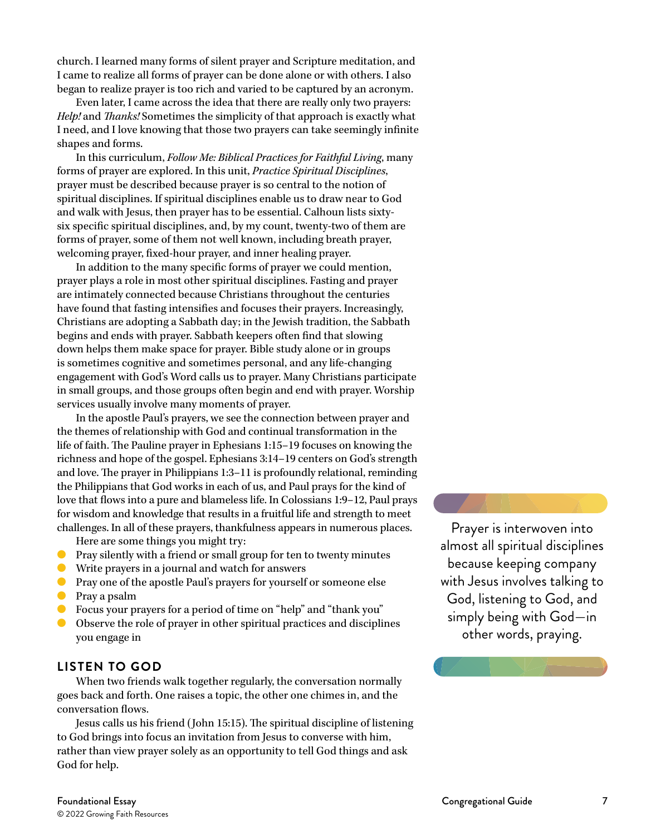church. I learned many forms of silent prayer and Scripture meditation, and I came to realize all forms of prayer can be done alone or with others. I also began to realize prayer is too rich and varied to be captured by an acronym.

Even later, I came across the idea that there are really only two prayers: *Help!* and *Thanks!* Sometimes the simplicity of that approach is exactly what I need, and I love knowing that those two prayers can take seemingly infinite shapes and forms.

In this curriculum, *Follow Me: Biblical Practices for Faithful Living*, many forms of prayer are explored. In this unit, *Practice Spiritual Disciplines*, prayer must be described because prayer is so central to the notion of spiritual disciplines. If spiritual disciplines enable us to draw near to God and walk with Jesus, then prayer has to be essential. Calhoun lists sixtysix specific spiritual disciplines, and, by my count, twenty-two of them are forms of prayer, some of them not well known, including breath prayer, welcoming prayer, fixed-hour prayer, and inner healing prayer.

In addition to the many specific forms of prayer we could mention, prayer plays a role in most other spiritual disciplines. Fasting and prayer are intimately connected because Christians throughout the centuries have found that fasting intensifies and focuses their prayers. Increasingly, Christians are adopting a Sabbath day; in the Jewish tradition, the Sabbath begins and ends with prayer. Sabbath keepers often find that slowing down helps them make space for prayer. Bible study alone or in groups is sometimes cognitive and sometimes personal, and any life-changing engagement with God's Word calls us to prayer. Many Christians participate in small groups, and those groups often begin and end with prayer. Worship services usually involve many moments of prayer.

In the apostle Paul's prayers, we see the connection between prayer and the themes of relationship with God and continual transformation in the life of faith. The Pauline prayer in Ephesians 1:15–19 focuses on knowing the richness and hope of the gospel. Ephesians 3:14–19 centers on God's strength and love. The prayer in Philippians 1:3–11 is profoundly relational, reminding the Philippians that God works in each of us, and Paul prays for the kind of love that flows into a pure and blameless life. In Colossians 1:9–12, Paul prays for wisdom and knowledge that results in a fruitful life and strength to meet challenges. In all of these prayers, thankfulness appears in numerous places.

Here are some things you might try:

- Pray silently with a friend or small group for ten to twenty minutes
- Write prayers in a journal and watch for answers
- **O** Pray one of the apostle Paul's prayers for yourself or someone else
- Pray a psalm
- Focus your prayers for a period of time on "help" and "thank you"
- Observe the role of prayer in other spiritual practices and disciplines you engage in

# **LISTEN TO GOD**

When two friends walk together regularly, the conversation normally goes back and forth. One raises a topic, the other one chimes in, and the conversation flows.

Jesus calls us his friend (John 15:15). The spiritual discipline of listening to God brings into focus an invitation from Jesus to converse with him, rather than view prayer solely as an opportunity to tell God things and ask God for help.

Prayer is interwoven into almost all spiritual disciplines because keeping company with Jesus involves talking to God, listening to God, and simply being with God—in other words, praying.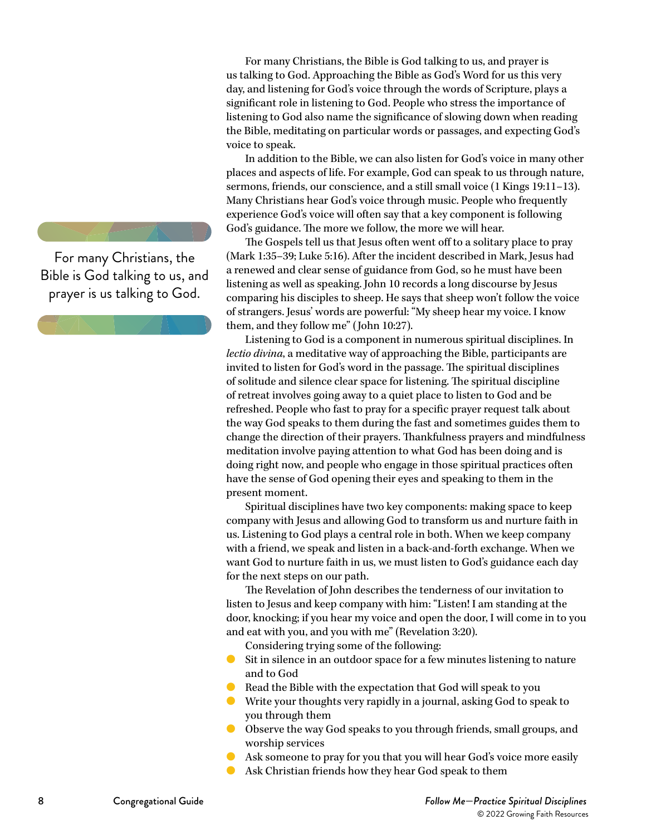For many Christians, the

Bible is God talking to us, and prayer is us talking to God.

For many Christians, the Bible is God talking to us, and prayer is us talking to God. Approaching the Bible as God's Word for us this very day, and listening for God's voice through the words of Scripture, plays a significant role in listening to God. People who stress the importance of listening to God also name the significance of slowing down when reading the Bible, meditating on particular words or passages, and expecting God's voice to speak.

In addition to the Bible, we can also listen for God's voice in many other places and aspects of life. For example, God can speak to us through nature, sermons, friends, our conscience, and a still small voice (1 Kings 19:11–13). Many Christians hear God's voice through music. People who frequently experience God's voice will often say that a key component is following God's guidance. The more we follow, the more we will hear.

The Gospels tell us that Jesus often went off to a solitary place to pray (Mark 1:35–39; Luke 5:16). After the incident described in Mark, Jesus had a renewed and clear sense of guidance from God, so he must have been listening as well as speaking. John 10 records a long discourse by Jesus comparing his disciples to sheep. He says that sheep won't follow the voice of strangers. Jesus' words are powerful: "My sheep hear my voice. I know them, and they follow me" (John 10:27).

Listening to God is a component in numerous spiritual disciplines. In *lectio divina*, a meditative way of approaching the Bible, participants are invited to listen for God's word in the passage. The spiritual disciplines of solitude and silence clear space for listening. The spiritual discipline of retreat involves going away to a quiet place to listen to God and be refreshed. People who fast to pray for a specific prayer request talk about the way God speaks to them during the fast and sometimes guides them to change the direction of their prayers. Thankfulness prayers and mindfulness meditation involve paying attention to what God has been doing and is doing right now, and people who engage in those spiritual practices often have the sense of God opening their eyes and speaking to them in the present moment.

Spiritual disciplines have two key components: making space to keep company with Jesus and allowing God to transform us and nurture faith in us. Listening to God plays a central role in both. When we keep company with a friend, we speak and listen in a back-and-forth exchange. When we want God to nurture faith in us, we must listen to God's guidance each day for the next steps on our path.

The Revelation of John describes the tenderness of our invitation to listen to Jesus and keep company with him: "Listen! I am standing at the door, knocking; if you hear my voice and open the door, I will come in to you and eat with you, and you with me" (Revelation 3:20).

Considering trying some of the following:

- Sit in silence in an outdoor space for a few minutes listening to nature and to God
- Read the Bible with the expectation that God will speak to you
- Write your thoughts very rapidly in a journal, asking God to speak to you through them
- Observe the way God speaks to you through friends, small groups, and worship services
- Ask someone to pray for you that you will hear God's voice more easily
- Ask Christian friends how they hear God speak to them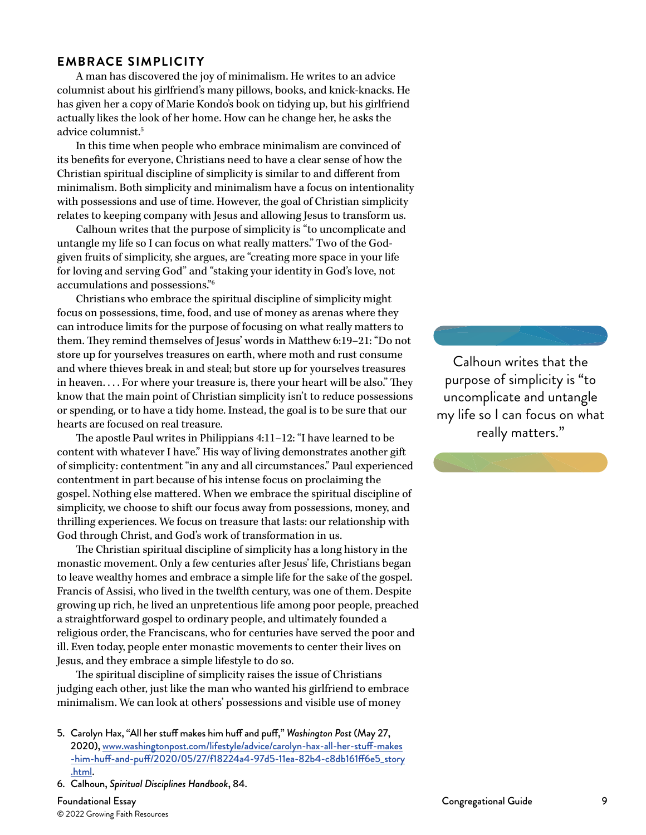# **EMBRACE SIMPLICITY**

A man has discovered the joy of minimalism. He writes to an advice columnist about his girlfriend's many pillows, books, and knick-knacks. He has given her a copy of Marie Kondo's book on tidying up, but his girlfriend actually likes the look of her home. How can he change her, he asks the advice columnist.5

In this time when people who embrace minimalism are convinced of its benefits for everyone, Christians need to have a clear sense of how the Christian spiritual discipline of simplicity is similar to and different from minimalism. Both simplicity and minimalism have a focus on intentionality with possessions and use of time. However, the goal of Christian simplicity relates to keeping company with Jesus and allowing Jesus to transform us.

Calhoun writes that the purpose of simplicity is "to uncomplicate and untangle my life so I can focus on what really matters." Two of the Godgiven fruits of simplicity, she argues, are "creating more space in your life for loving and serving God" and "staking your identity in God's love, not accumulations and possessions."6

Christians who embrace the spiritual discipline of simplicity might focus on possessions, time, food, and use of money as arenas where they can introduce limits for the purpose of focusing on what really matters to them. They remind themselves of Jesus' words in Matthew 6:19–21: "Do not store up for yourselves treasures on earth, where moth and rust consume and where thieves break in and steal; but store up for yourselves treasures in heaven. . . . For where your treasure is, there your heart will be also." They know that the main point of Christian simplicity isn't to reduce possessions or spending, or to have a tidy home. Instead, the goal is to be sure that our hearts are focused on real treasure.

The apostle Paul writes in Philippians 4:11–12: "I have learned to be content with whatever I have." His way of living demonstrates another gift of simplicity: contentment "in any and all circumstances." Paul experienced contentment in part because of his intense focus on proclaiming the gospel. Nothing else mattered. When we embrace the spiritual discipline of simplicity, we choose to shift our focus away from possessions, money, and thrilling experiences. We focus on treasure that lasts: our relationship with God through Christ, and God's work of transformation in us.

The Christian spiritual discipline of simplicity has a long history in the monastic movement. Only a few centuries after Jesus' life, Christians began to leave wealthy homes and embrace a simple life for the sake of the gospel. Francis of Assisi, who lived in the twelfth century, was one of them. Despite growing up rich, he lived an unpretentious life among poor people, preached a straightforward gospel to ordinary people, and ultimately founded a religious order, the Franciscans, who for centuries have served the poor and ill. Even today, people enter monastic movements to center their lives on Jesus, and they embrace a simple lifestyle to do so.

The spiritual discipline of simplicity raises the issue of Christians judging each other, just like the man who wanted his girlfriend to embrace minimalism. We can look at others' possessions and visible use of money

- 5. Carolyn Hax, "All her stuff makes him huff and puff," *Washington Post* (May 27, 2020), [www.washingtonpost.com/lifestyle/advice/carolyn-hax-all-her-stuff-makes](https://www.washingtonpost.com/lifestyle/advice/carolyn-hax-all-her-stuff-makes-him-huff-and-puff/20) [-him-huff-and-puff/2020/05/27/f18224a4-97d5-11ea-82b4-c8db161ff6e5\\_story](https://www.washingtonpost.com/lifestyle/advice/carolyn-hax-all-her-stuff-makes-him-huff-and-puff/20) [.html](https://www.washingtonpost.com/lifestyle/advice/carolyn-hax-all-her-stuff-makes-him-huff-and-puff/20).
- 6. Calhoun, *Spiritual Disciplines Handbook*, 84.

Foundational Essay Congregational Guide 9 © 2022 Growing Faith Resources

Calhoun writes that the purpose of simplicity is "to uncomplicate and untangle my life so I can focus on what really matters."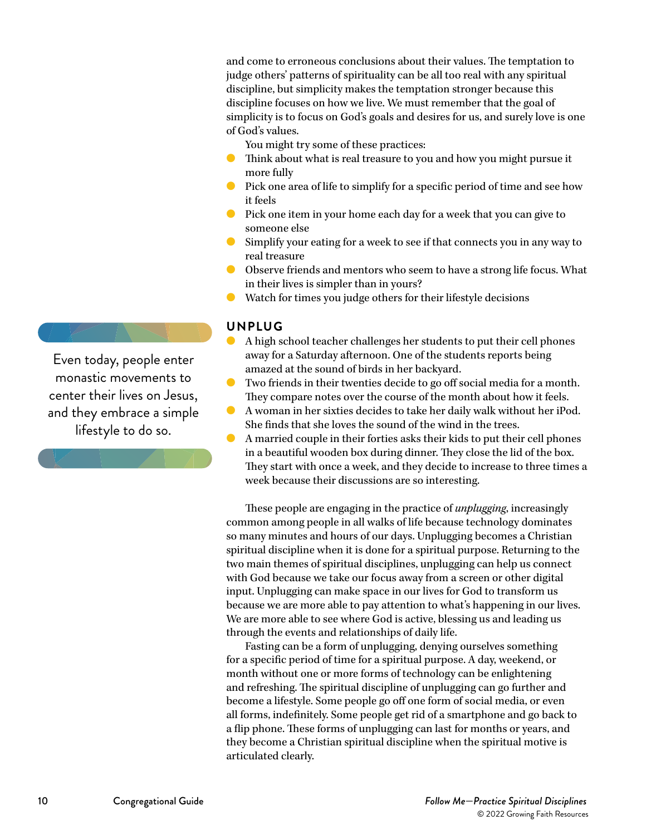and come to erroneous conclusions about their values. The temptation to judge others' patterns of spirituality can be all too real with any spiritual discipline, but simplicity makes the temptation stronger because this discipline focuses on how we live. We must remember that the goal of simplicity is to focus on God's goals and desires for us, and surely love is one of God's values.

- You might try some of these practices:
- Think about what is real treasure to you and how you might pursue it more fully
- Pick one area of life to simplify for a specific period of time and see how it feels
- Pick one item in your home each day for a week that you can give to someone else
- Simplify your eating for a week to see if that connects you in any way to real treasure
- Observe friends and mentors who seem to have a strong life focus. What in their lives is simpler than in yours?
- Watch for times you judge others for their lifestyle decisions

# **UNPLUG**

- A high school teacher challenges her students to put their cell phones away for a Saturday afternoon. One of the students reports being amazed at the sound of birds in her backyard.
- Two friends in their twenties decide to go off social media for a month. They compare notes over the course of the month about how it feels.
- A woman in her sixties decides to take her daily walk without her iPod. She finds that she loves the sound of the wind in the trees.
- A married couple in their forties asks their kids to put their cell phones in a beautiful wooden box during dinner. They close the lid of the box. They start with once a week, and they decide to increase to three times a week because their discussions are so interesting.

These people are engaging in the practice of *unplugging*, increasingly common among people in all walks of life because technology dominates so many minutes and hours of our days. Unplugging becomes a Christian spiritual discipline when it is done for a spiritual purpose. Returning to the two main themes of spiritual disciplines, unplugging can help us connect with God because we take our focus away from a screen or other digital input. Unplugging can make space in our lives for God to transform us because we are more able to pay attention to what's happening in our lives. We are more able to see where God is active, blessing us and leading us through the events and relationships of daily life.

Fasting can be a form of unplugging, denying ourselves something for a specific period of time for a spiritual purpose. A day, weekend, or month without one or more forms of technology can be enlightening and refreshing. The spiritual discipline of unplugging can go further and become a lifestyle. Some people go off one form of social media, or even all forms, indefinitely. Some people get rid of a smartphone and go back to a flip phone. These forms of unplugging can last for months or years, and they become a Christian spiritual discipline when the spiritual motive is articulated clearly.

Even today, people enter monastic movements to center their lives on Jesus, and they embrace a simple lifestyle to do so.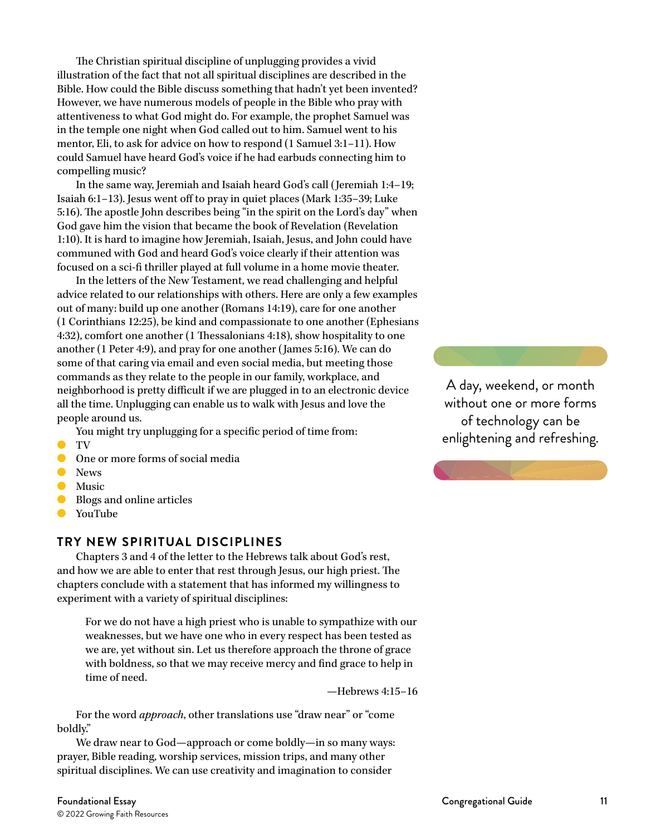The Christian spiritual discipline of unplugging provides a vivid illustration of the fact that not all spiritual disciplines are described in the Bible. How could the Bible discuss something that hadn't yet been invented? However, we have numerous models of people in the Bible who pray with attentiveness to what God might do. For example, the prophet Samuel was in the temple one night when God called out to him. Samuel went to his mentor, Eli, to ask for advice on how to respond (1 Samuel 3:1–11). How could Samuel have heard God's voice if he had earbuds connecting him to compelling music?

In the same way, Jeremiah and Isaiah heard God's call (Jeremiah 1:4–19; Isaiah 6:1–13). Jesus went off to pray in quiet places (Mark 1:35–39; Luke 5:16). The apostle John describes being "in the spirit on the Lord's day" when God gave him the vision that became the book of Revelation (Revelation 1:10). It is hard to imagine how Jeremiah, Isaiah, Jesus, and John could have communed with God and heard God's voice clearly if their attention was focused on a sci-fi thriller played at full volume in a home movie theater.

In the letters of the New Testament, we read challenging and helpful advice related to our relationships with others. Here are only a few examples out of many: build up one another (Romans 14:19), care for one another (1 Corinthians 12:25), be kind and compassionate to one another (Ephesians 4:32), comfort one another (1 Thessalonians 4:18), show hospitality to one another (1 Peter 4:9), and pray for one another (James 5:16). We can do some of that caring via email and even social media, but meeting those commands as they relate to the people in our family, workplace, and neighborhood is pretty difficult if we are plugged in to an electronic device all the time. Unplugging can enable us to walk with Jesus and love the people around us.

You might try unplugging for a specific period of time from:

- TV
- One or more forms of social media
- **O** News
- Music
- Blogs and online articles
- YouTube

# **TRY NEW SPIRITUAL DISCIPLINES**

Chapters 3 and 4 of the letter to the Hebrews talk about God's rest, and how we are able to enter that rest through Jesus, our high priest. The chapters conclude with a statement that has informed my willingness to experiment with a variety of spiritual disciplines:

For we do not have a high priest who is unable to sympathize with our weaknesses, but we have one who in every respect has been tested as we are, yet without sin. Let us therefore approach the throne of grace with boldness, so that we may receive mercy and find grace to help in time of need.

—Hebrews 4:15–16

For the word *approach*, other translations use "draw near" or "come boldly."

We draw near to God—approach or come boldly—in so many ways: prayer, Bible reading, worship services, mission trips, and many other spiritual disciplines. We can use creativity and imagination to consider

of technology can be enlightening and refreshing.

A day, weekend, or month without one or more forms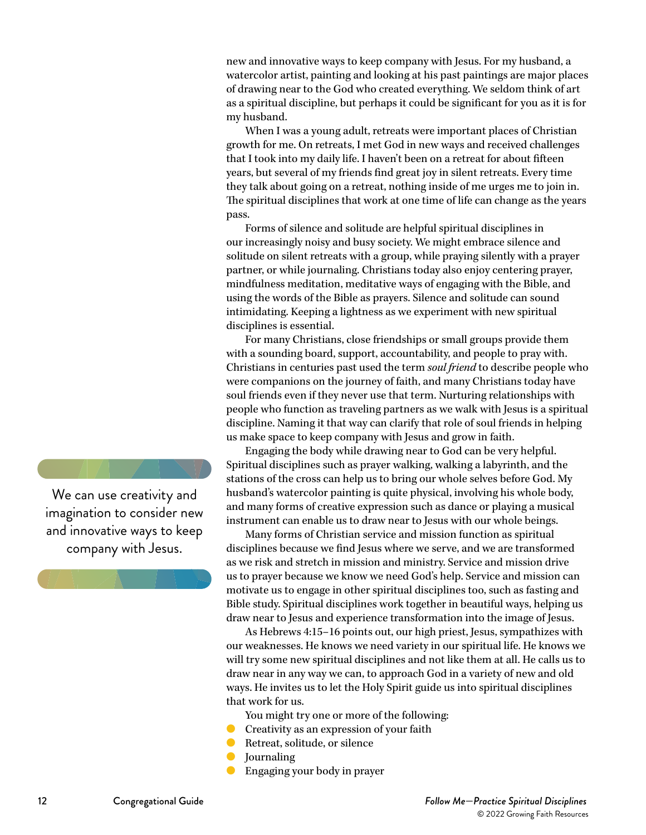new and innovative ways to keep company with Jesus. For my husband, a watercolor artist, painting and looking at his past paintings are major places of drawing near to the God who created everything. We seldom think of art as a spiritual discipline, but perhaps it could be significant for you as it is for my husband.

When I was a young adult, retreats were important places of Christian growth for me. On retreats, I met God in new ways and received challenges that I took into my daily life. I haven't been on a retreat for about fifteen years, but several of my friends find great joy in silent retreats. Every time they talk about going on a retreat, nothing inside of me urges me to join in. The spiritual disciplines that work at one time of life can change as the years pass.

Forms of silence and solitude are helpful spiritual disciplines in our increasingly noisy and busy society. We might embrace silence and solitude on silent retreats with a group, while praying silently with a prayer partner, or while journaling. Christians today also enjoy centering prayer, mindfulness meditation, meditative ways of engaging with the Bible, and using the words of the Bible as prayers. Silence and solitude can sound intimidating. Keeping a lightness as we experiment with new spiritual disciplines is essential.

For many Christians, close friendships or small groups provide them with a sounding board, support, accountability, and people to pray with. Christians in centuries past used the term *soul friend* to describe people who were companions on the journey of faith, and many Christians today have soul friends even if they never use that term. Nurturing relationships with people who function as traveling partners as we walk with Jesus is a spiritual discipline. Naming it that way can clarify that role of soul friends in helping us make space to keep company with Jesus and grow in faith.

Engaging the body while drawing near to God can be very helpful. Spiritual disciplines such as prayer walking, walking a labyrinth, and the stations of the cross can help us to bring our whole selves before God. My husband's watercolor painting is quite physical, involving his whole body, and many forms of creative expression such as dance or playing a musical instrument can enable us to draw near to Jesus with our whole beings.

Many forms of Christian service and mission function as spiritual disciplines because we find Jesus where we serve, and we are transformed as we risk and stretch in mission and ministry. Service and mission drive us to prayer because we know we need God's help. Service and mission can motivate us to engage in other spiritual disciplines too, such as fasting and Bible study. Spiritual disciplines work together in beautiful ways, helping us draw near to Jesus and experience transformation into the image of Jesus.

As Hebrews 4:15–16 points out, our high priest, Jesus, sympathizes with our weaknesses. He knows we need variety in our spiritual life. He knows we will try some new spiritual disciplines and not like them at all. He calls us to draw near in any way we can, to approach God in a variety of new and old ways. He invites us to let the Holy Spirit guide us into spiritual disciplines that work for us.

You might try one or more of the following:

- Creativity as an expression of your faith
- Retreat, solitude, or silence
- **Journaling**
- Engaging your body in prayer

We can use creativity and imagination to consider new and innovative ways to keep company with Jesus.